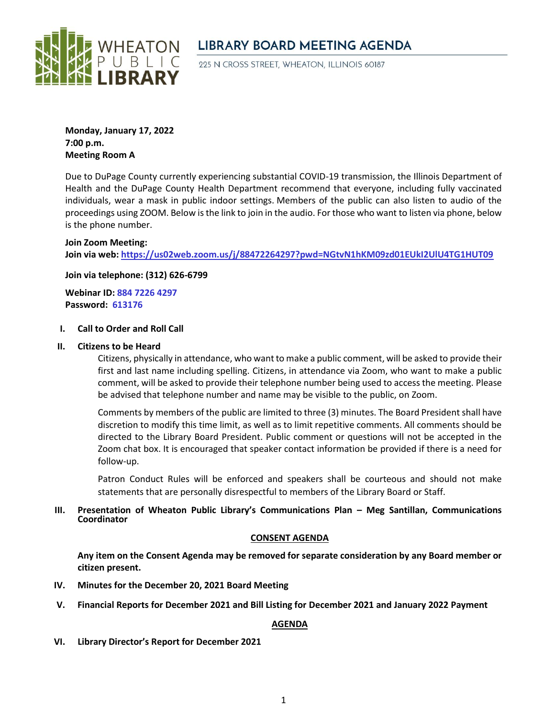

# **LIBRARY BOARD MEETING AGENDA**

225 N CROSS STREET, WHEATON, ILLINOIS 60187

**Monday, January 17, 2022 7:00 p.m. Meeting Room A**

Due to DuPage County currently experiencing substantial COVID-19 transmission, the Illinois Department of Health and the DuPage County Health Department recommend that everyone, including fully vaccinated individuals, wear a mask in public indoor settings. Members of the public can also listen to audio of the proceedings using ZOOM. Below is the link to join in the audio. For those who want to listen via phone, below is the phone number.

## **Join Zoom Meeting:**

**Join via web: <https://us02web.zoom.us/j/88472264297?pwd=NGtvN1hKM09zd01EUkI2UlU4TG1HUT09>**

**Join via telephone: (312) 626-6799**

**Webinar ID: 884 7226 4297 Password: 613176**

#### **I. Call to Order and Roll Call**

#### **II. Citizens to be Heard**

Citizens, physically in attendance, who want to make a public comment, will be asked to provide their first and last name including spelling. Citizens, in attendance via Zoom, who want to make a public comment, will be asked to provide their telephone number being used to access the meeting. Please be advised that telephone number and name may be visible to the public, on Zoom.

Comments by members of the public are limited to three (3) minutes. The Board President shall have discretion to modify this time limit, as well as to limit repetitive comments. All comments should be directed to the Library Board President. Public comment or questions will not be accepted in the Zoom chat box. It is encouraged that speaker contact information be provided if there is a need for follow-up.

Patron Conduct Rules will be enforced and speakers shall be courteous and should not make statements that are personally disrespectful to members of the Library Board or Staff.

# **III. Presentation of Wheaton Public Library's Communications Plan – Meg Santillan, Communications Coordinator**

## **CONSENT AGENDA**

**Any item on the Consent Agenda may be removed for separate consideration by any Board member or citizen present.**

- **IV. Minutes for the December 20, 2021 Board Meeting**
- **V. Financial Reports for December 2021 and Bill Listing for December 2021 and January 2022 Payment**

## **AGENDA**

**VI. Library Director's Report for December 2021**